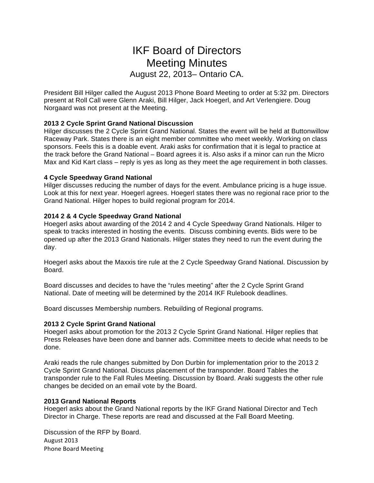# IKF Board of Directors Meeting Minutes August 22, 2013– Ontario CA.

President Bill Hilger called the August 2013 Phone Board Meeting to order at 5:32 pm. Directors present at Roll Call were Glenn Araki, Bill Hilger, Jack Hoegerl, and Art Verlengiere. Doug Norgaard was not present at the Meeting.

## **2013 2 Cycle Sprint Grand National Discussion**

Hilger discusses the 2 Cycle Sprint Grand National. States the event will be held at Buttonwillow Raceway Park. States there is an eight member committee who meet weekly. Working on class sponsors. Feels this is a doable event. Araki asks for confirmation that it is legal to practice at the track before the Grand National – Board agrees it is. Also asks if a minor can run the Micro Max and Kid Kart class – reply is yes as long as they meet the age requirement in both classes.

### **4 Cycle Speedway Grand National**

Hilger discusses reducing the number of days for the event. Ambulance pricing is a huge issue. Look at this for next year. Hoegerl agrees. Hoegerl states there was no regional race prior to the Grand National. Hilger hopes to build regional program for 2014.

## **2014 2 & 4 Cycle Speedway Grand National**

Hoegerl asks about awarding of the 2014 2 and 4 Cycle Speedway Grand Nationals. Hilger to speak to tracks interested in hosting the events. Discuss combining events. Bids were to be opened up after the 2013 Grand Nationals. Hilger states they need to run the event during the day.

Hoegerl asks about the Maxxis tire rule at the 2 Cycle Speedway Grand National. Discussion by Board.

Board discusses and decides to have the "rules meeting" after the 2 Cycle Sprint Grand National. Date of meeting will be determined by the 2014 IKF Rulebook deadlines.

Board discusses Membership numbers. Rebuilding of Regional programs.

### **2013 2 Cycle Sprint Grand National**

Hoegerl asks about promotion for the 2013 2 Cycle Sprint Grand National. Hilger replies that Press Releases have been done and banner ads. Committee meets to decide what needs to be done.

Araki reads the rule changes submitted by Don Durbin for implementation prior to the 2013 2 Cycle Sprint Grand National. Discuss placement of the transponder. Board Tables the transponder rule to the Fall Rules Meeting. Discussion by Board. Araki suggests the other rule changes be decided on an email vote by the Board.

### **2013 Grand National Reports**

Hoegerl asks about the Grand National reports by the IKF Grand National Director and Tech Director in Charge. These reports are read and discussed at the Fall Board Meeting.

August 2013 Phone Board Meeting Discussion of the RFP by Board.